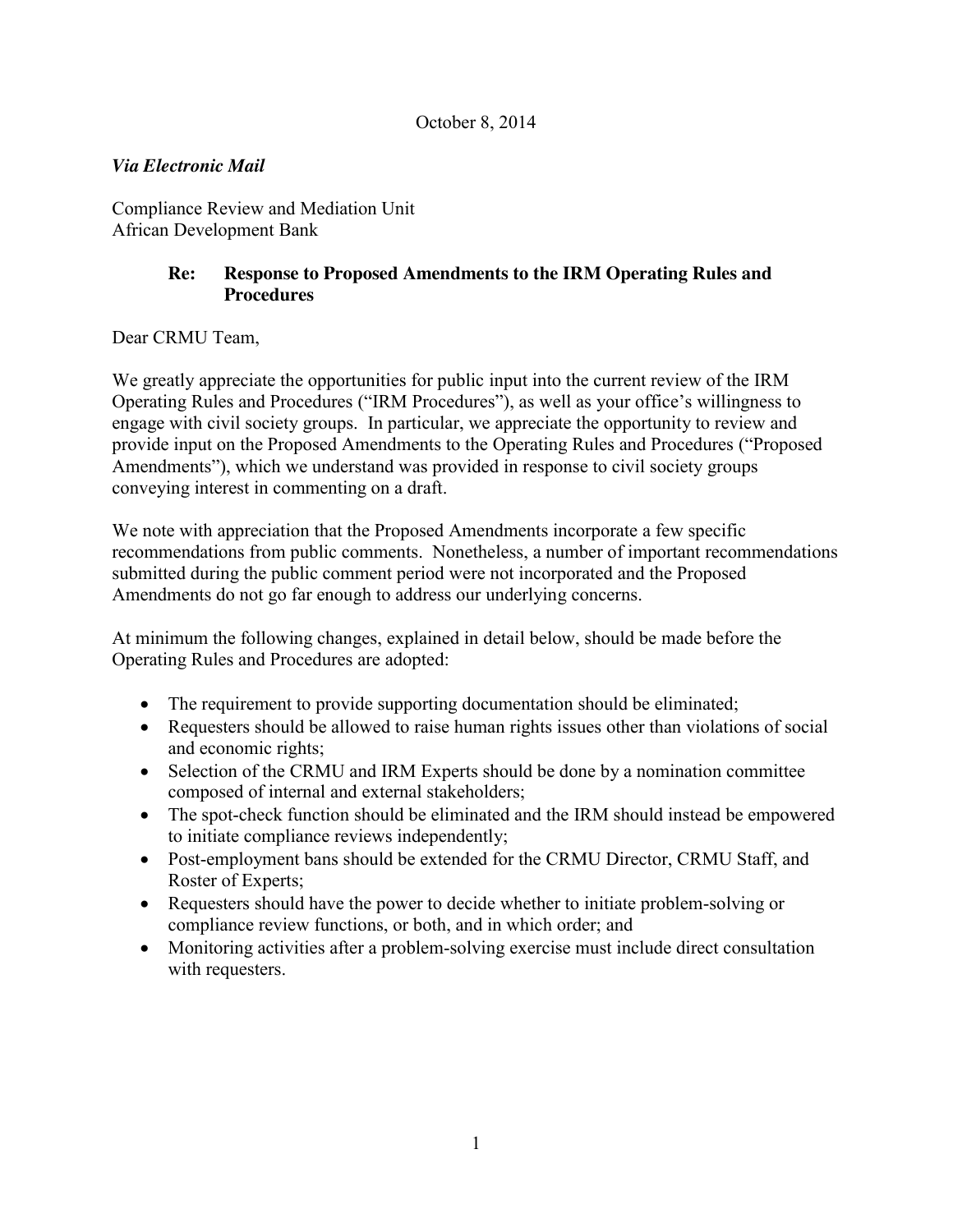# *Via Electronic Mail*

Compliance Review and Mediation Unit African Development Bank

## **Re: Response to Proposed Amendments to the IRM Operating Rules and Procedures**

Dear CRMU Team,

We greatly appreciate the opportunities for public input into the current review of the IRM Operating Rules and Procedures ("IRM Procedures"), as well as your office's willingness to engage with civil society groups. In particular, we appreciate the opportunity to review and provide input on the Proposed Amendments to the Operating Rules and Procedures ("Proposed Amendments"), which we understand was provided in response to civil society groups conveying interest in commenting on a draft.

We note with appreciation that the Proposed Amendments incorporate a few specific recommendations from public comments. Nonetheless, a number of important recommendations submitted during the public comment period were not incorporated and the Proposed Amendments do not go far enough to address our underlying concerns.

At minimum the following changes, explained in detail below, should be made before the Operating Rules and Procedures are adopted:

- The requirement to provide supporting documentation should be eliminated;
- Requesters should be allowed to raise human rights issues other than violations of social and economic rights;
- Selection of the CRMU and IRM Experts should be done by a nomination committee composed of internal and external stakeholders;
- The spot-check function should be eliminated and the IRM should instead be empowered to initiate compliance reviews independently;
- Post-employment bans should be extended for the CRMU Director, CRMU Staff, and Roster of Experts;
- Requesters should have the power to decide whether to initiate problem-solving or compliance review functions, or both, and in which order; and
- Monitoring activities after a problem-solving exercise must include direct consultation with requesters.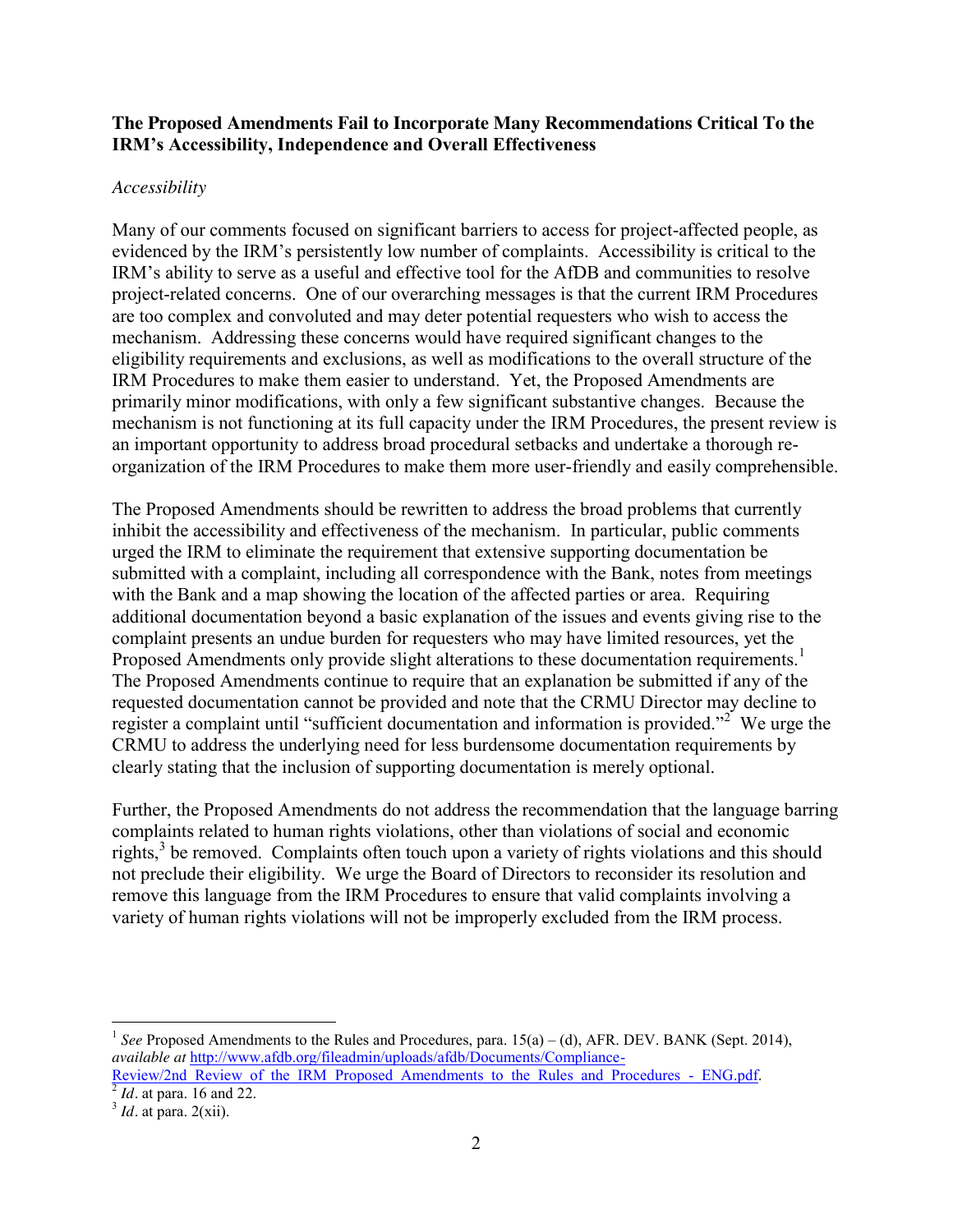### **The Proposed Amendments Fail to Incorporate Many Recommendations Critical To the IRM's Accessibility, Independence and Overall Effectiveness**

### *Accessibility*

Many of our comments focused on significant barriers to access for project-affected people, as evidenced by the IRM's persistently low number of complaints. Accessibility is critical to the IRM's ability to serve as a useful and effective tool for the AfDB and communities to resolve project-related concerns. One of our overarching messages is that the current IRM Procedures are too complex and convoluted and may deter potential requesters who wish to access the mechanism. Addressing these concerns would have required significant changes to the eligibility requirements and exclusions, as well as modifications to the overall structure of the IRM Procedures to make them easier to understand. Yet, the Proposed Amendments are primarily minor modifications, with only a few significant substantive changes. Because the mechanism is not functioning at its full capacity under the IRM Procedures, the present review is an important opportunity to address broad procedural setbacks and undertake a thorough reorganization of the IRM Procedures to make them more user-friendly and easily comprehensible.

The Proposed Amendments should be rewritten to address the broad problems that currently inhibit the accessibility and effectiveness of the mechanism. In particular, public comments urged the IRM to eliminate the requirement that extensive supporting documentation be submitted with a complaint, including all correspondence with the Bank, notes from meetings with the Bank and a map showing the location of the affected parties or area. Requiring additional documentation beyond a basic explanation of the issues and events giving rise to the complaint presents an undue burden for requesters who may have limited resources, yet the Proposed Amendments only provide slight alterations to these documentation requirements.<sup>1</sup> The Proposed Amendments continue to require that an explanation be submitted if any of the requested documentation cannot be provided and note that the CRMU Director may decline to register a complaint until "sufficient documentation and information is provided."<sup>2</sup> We urge the CRMU to address the underlying need for less burdensome documentation requirements by clearly stating that the inclusion of supporting documentation is merely optional.

Further, the Proposed Amendments do not address the recommendation that the language barring complaints related to human rights violations, other than violations of social and economic rights, $3$  be removed. Complaints often touch upon a variety of rights violations and this should not preclude their eligibility. We urge the Board of Directors to reconsider its resolution and remove this language from the IRM Procedures to ensure that valid complaints involving a variety of human rights violations will not be improperly excluded from the IRM process.

<sup>&</sup>lt;sup>1</sup> *See* Proposed Amendments to the Rules and Procedures, para.  $15(a) - (d)$ , AFR. DEV. BANK (Sept. 2014), *available at* [http://www.afdb.org/fileadmin/uploads/afdb/Documents/Compliance-](http://www.afdb.org/fileadmin/uploads/afdb/Documents/Compliance-Review/2nd_Review_of_the_IRM_Proposed_Amendments_to_the_Rules_and_Procedures_-_ENG.pdf)[Review/2nd\\_Review\\_of\\_the\\_IRM\\_Proposed\\_Amendments\\_to\\_the\\_Rules\\_and\\_Procedures\\_-\\_ENG.pdf.](http://www.afdb.org/fileadmin/uploads/afdb/Documents/Compliance-Review/2nd_Review_of_the_IRM_Proposed_Amendments_to_the_Rules_and_Procedures_-_ENG.pdf)<br>
<sup>[2](http://www.afdb.org/fileadmin/uploads/afdb/Documents/Compliance-Review/2nd_Review_of_the_IRM_Proposed_Amendments_to_the_Rules_and_Procedures_-_ENG.pdf)</sup> *Id.* at para. 16 and 22. 3 *Id.* at para. 2(xii).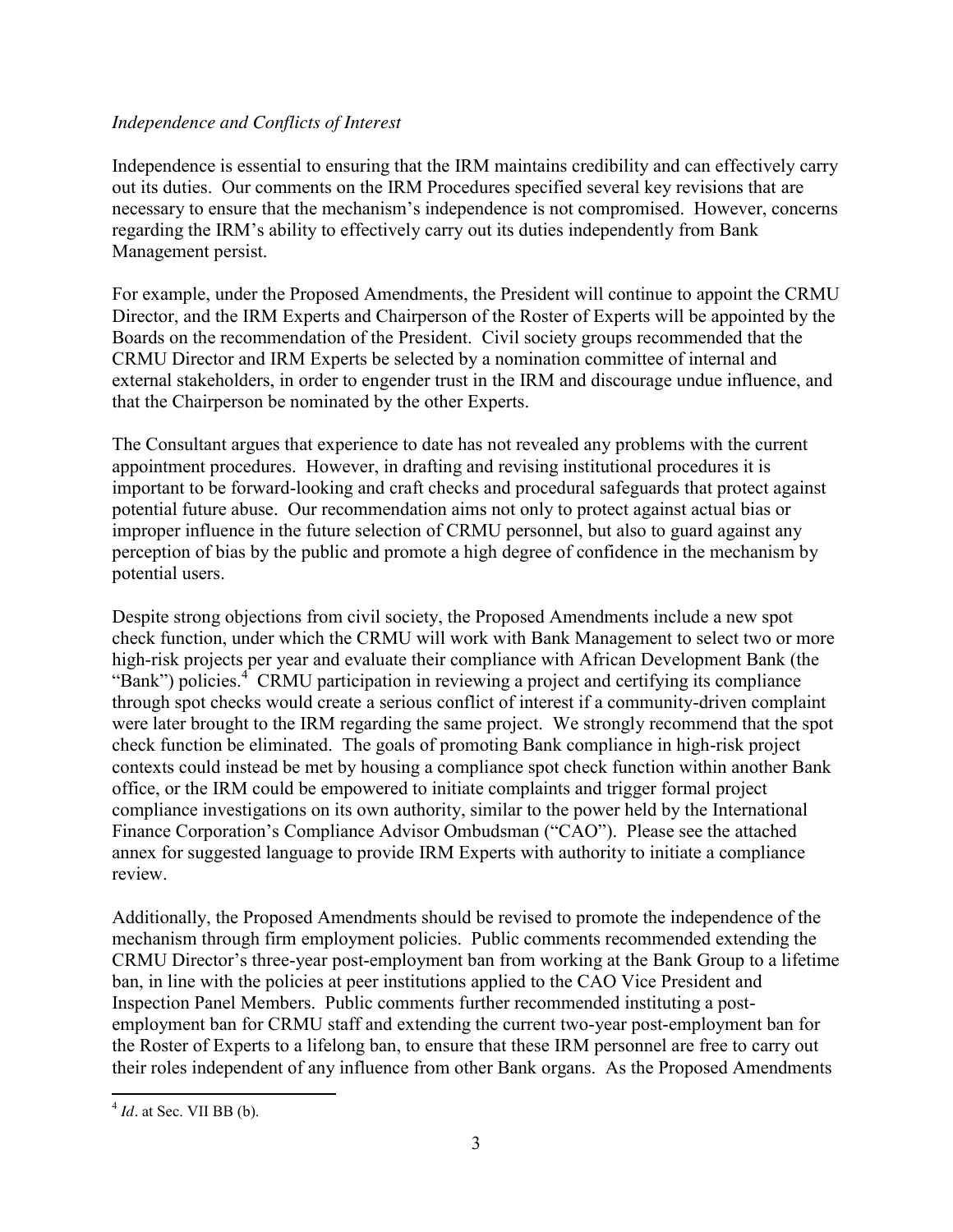### *Independence and Conflicts of Interest*

Independence is essential to ensuring that the IRM maintains credibility and can effectively carry out its duties. Our comments on the IRM Procedures specified several key revisions that are necessary to ensure that the mechanism's independence is not compromised. However, concerns regarding the IRM's ability to effectively carry out its duties independently from Bank Management persist.

For example, under the Proposed Amendments, the President will continue to appoint the CRMU Director, and the IRM Experts and Chairperson of the Roster of Experts will be appointed by the Boards on the recommendation of the President. Civil society groups recommended that the CRMU Director and IRM Experts be selected by a nomination committee of internal and external stakeholders, in order to engender trust in the IRM and discourage undue influence, and that the Chairperson be nominated by the other Experts.

The Consultant argues that experience to date has not revealed any problems with the current appointment procedures. However, in drafting and revising institutional procedures it is important to be forward-looking and craft checks and procedural safeguards that protect against potential future abuse. Our recommendation aims not only to protect against actual bias or improper influence in the future selection of CRMU personnel, but also to guard against any perception of bias by the public and promote a high degree of confidence in the mechanism by potential users.

Despite strong objections from civil society, the Proposed Amendments include a new spot check function, under which the CRMU will work with Bank Management to select two or more high-risk projects per year and evaluate their compliance with African Development Bank (the "Bank") policies.<sup>4</sup> CRMU participation in reviewing a project and certifying its compliance through spot checks would create a serious conflict of interest if a community-driven complaint were later brought to the IRM regarding the same project. We strongly recommend that the spot check function be eliminated. The goals of promoting Bank compliance in high-risk project contexts could instead be met by housing a compliance spot check function within another Bank office, or the IRM could be empowered to initiate complaints and trigger formal project compliance investigations on its own authority, similar to the power held by the International Finance Corporation's Compliance Advisor Ombudsman ("CAO"). Please see the attached annex for suggested language to provide IRM Experts with authority to initiate a compliance review.

Additionally, the Proposed Amendments should be revised to promote the independence of the mechanism through firm employment policies. Public comments recommended extending the CRMU Director's three-year post-employment ban from working at the Bank Group to a lifetime ban, in line with the policies at peer institutions applied to the CAO Vice President and Inspection Panel Members. Public comments further recommended instituting a postemployment ban for CRMU staff and extending the current two-year post-employment ban for the Roster of Experts to a lifelong ban, to ensure that these IRM personnel are free to carry out their roles independent of any influence from other Bank organs. As the Proposed Amendments

 $4$  *Id.* at Sec. VII BB (b).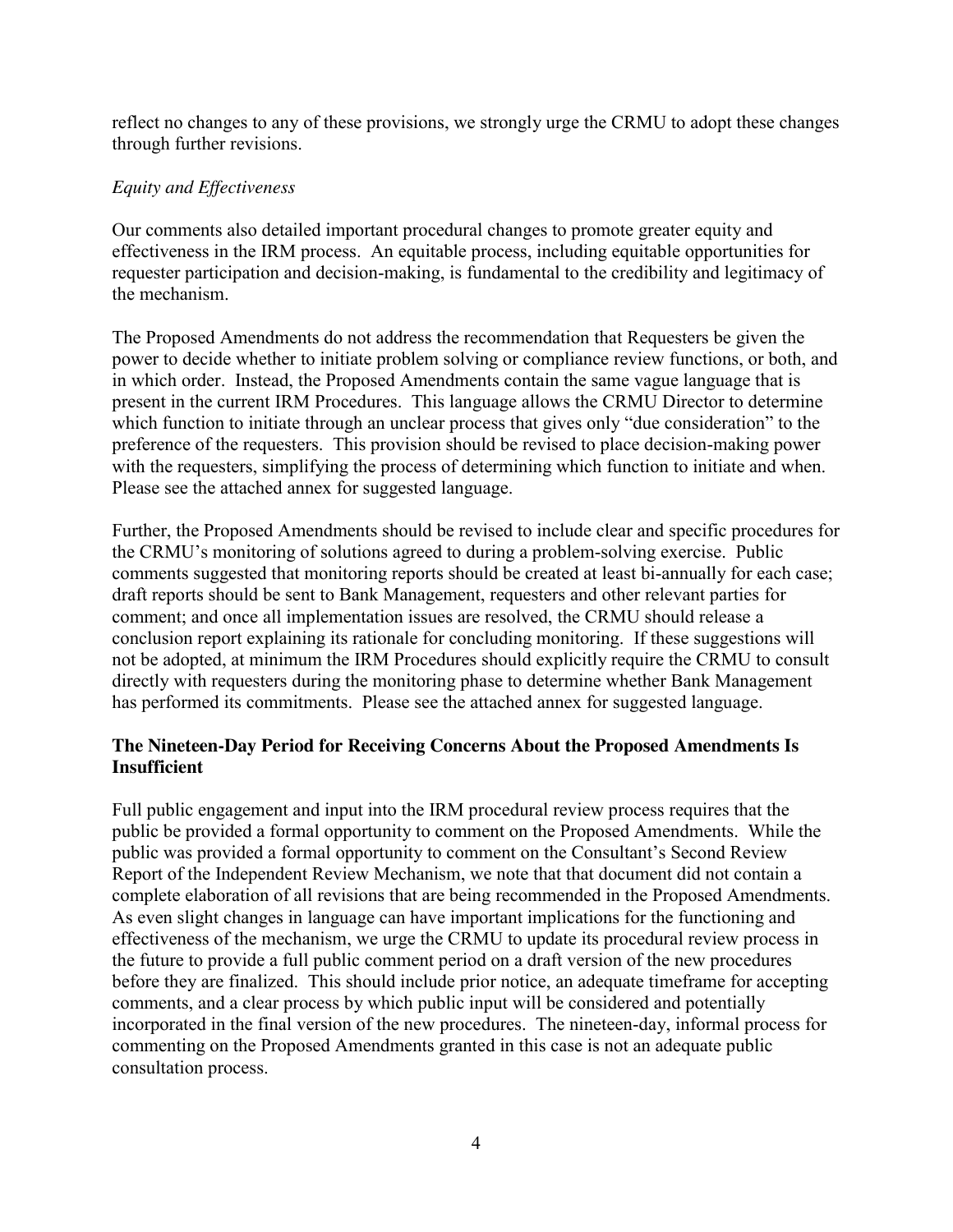reflect no changes to any of these provisions, we strongly urge the CRMU to adopt these changes through further revisions.

# *Equity and Effectiveness*

Our comments also detailed important procedural changes to promote greater equity and effectiveness in the IRM process. An equitable process, including equitable opportunities for requester participation and decision-making, is fundamental to the credibility and legitimacy of the mechanism.

The Proposed Amendments do not address the recommendation that Requesters be given the power to decide whether to initiate problem solving or compliance review functions, or both, and in which order. Instead, the Proposed Amendments contain the same vague language that is present in the current IRM Procedures. This language allows the CRMU Director to determine which function to initiate through an unclear process that gives only "due consideration" to the preference of the requesters. This provision should be revised to place decision-making power with the requesters, simplifying the process of determining which function to initiate and when. Please see the attached annex for suggested language.

Further, the Proposed Amendments should be revised to include clear and specific procedures for the CRMU's monitoring of solutions agreed to during a problem-solving exercise. Public comments suggested that monitoring reports should be created at least bi-annually for each case; draft reports should be sent to Bank Management, requesters and other relevant parties for comment; and once all implementation issues are resolved, the CRMU should release a conclusion report explaining its rationale for concluding monitoring. If these suggestions will not be adopted, at minimum the IRM Procedures should explicitly require the CRMU to consult directly with requesters during the monitoring phase to determine whether Bank Management has performed its commitments. Please see the attached annex for suggested language.

## **The Nineteen-Day Period for Receiving Concerns About the Proposed Amendments Is Insufficient**

Full public engagement and input into the IRM procedural review process requires that the public be provided a formal opportunity to comment on the Proposed Amendments. While the public was provided a formal opportunity to comment on the Consultant's Second Review Report of the Independent Review Mechanism, we note that that document did not contain a complete elaboration of all revisions that are being recommended in the Proposed Amendments. As even slight changes in language can have important implications for the functioning and effectiveness of the mechanism, we urge the CRMU to update its procedural review process in the future to provide a full public comment period on a draft version of the new procedures before they are finalized. This should include prior notice, an adequate timeframe for accepting comments, and a clear process by which public input will be considered and potentially incorporated in the final version of the new procedures. The nineteen-day, informal process for commenting on the Proposed Amendments granted in this case is not an adequate public consultation process.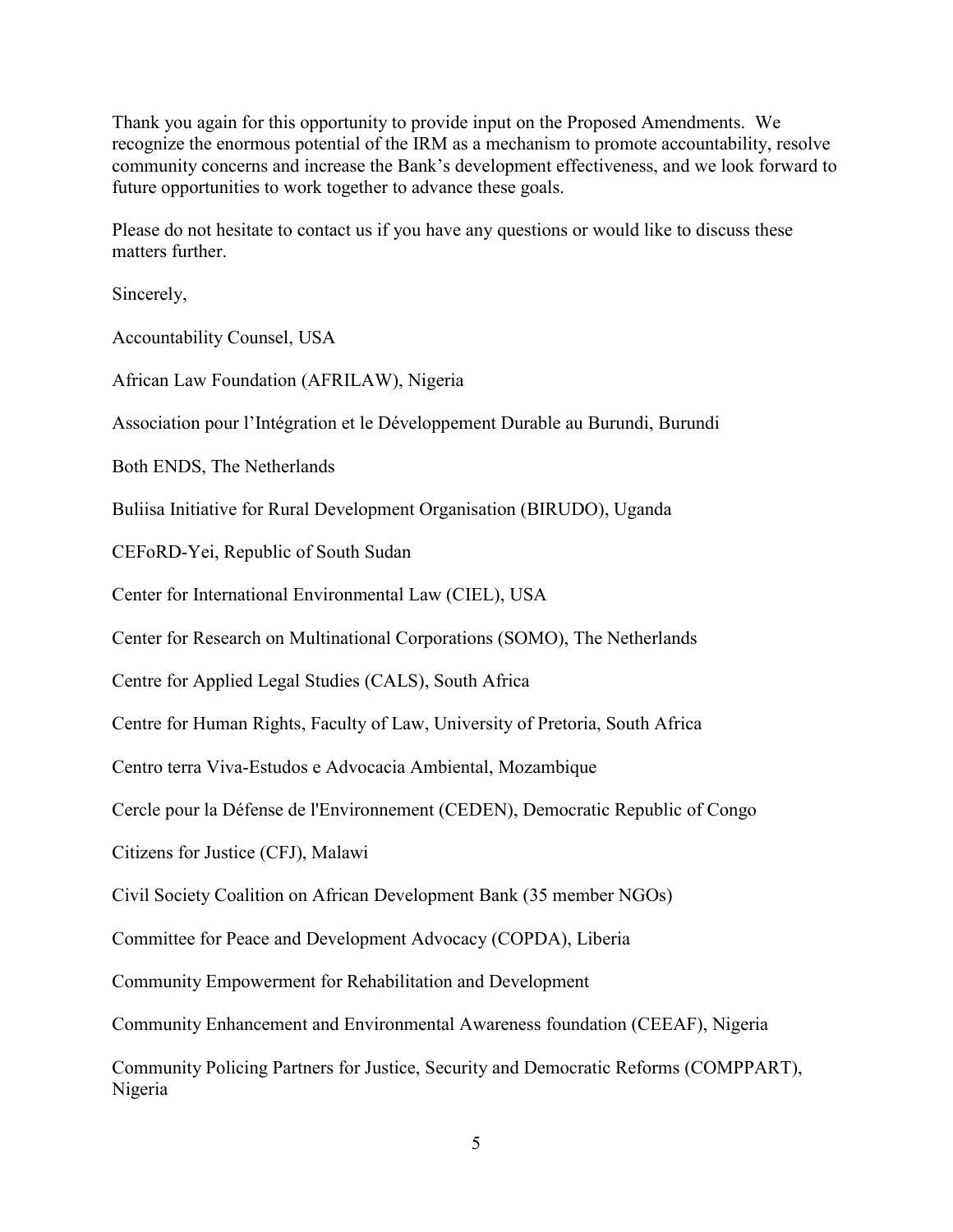Thank you again for this opportunity to provide input on the Proposed Amendments. We recognize the enormous potential of the IRM as a mechanism to promote accountability, resolve community concerns and increase the Bank's development effectiveness, and we look forward to future opportunities to work together to advance these goals.

Please do not hesitate to contact us if you have any questions or would like to discuss these matters further

Sincerely,

Accountability Counsel, USA

African Law Foundation (AFRILAW), Nigeria

Association pour l'Intégration et le Développement Durable au Burundi, Burundi

Both ENDS, The Netherlands

Buliisa Initiative for Rural Development Organisation (BIRUDO), Uganda

CEFoRD-Yei, Republic of South Sudan

Center for International Environmental Law (CIEL), USA

Center for Research on Multinational Corporations (SOMO), The Netherlands

Centre for Applied Legal Studies (CALS), South Africa

Centre for Human Rights, Faculty of Law, University of Pretoria, South Africa

Centro terra Viva-Estudos e Advocacia Ambiental, Mozambique

Cercle pour la Défense de l'Environnement (CEDEN), Democratic Republic of Congo

Citizens for Justice (CFJ), Malawi

Civil Society Coalition on African Development Bank (35 member NGOs)

Committee for Peace and Development Advocacy (COPDA), Liberia

Community Empowerment for Rehabilitation and Development

Community Enhancement and Environmental Awareness foundation (CEEAF), Nigeria

Community Policing Partners for Justice, Security and Democratic Reforms (COMPPART), Nigeria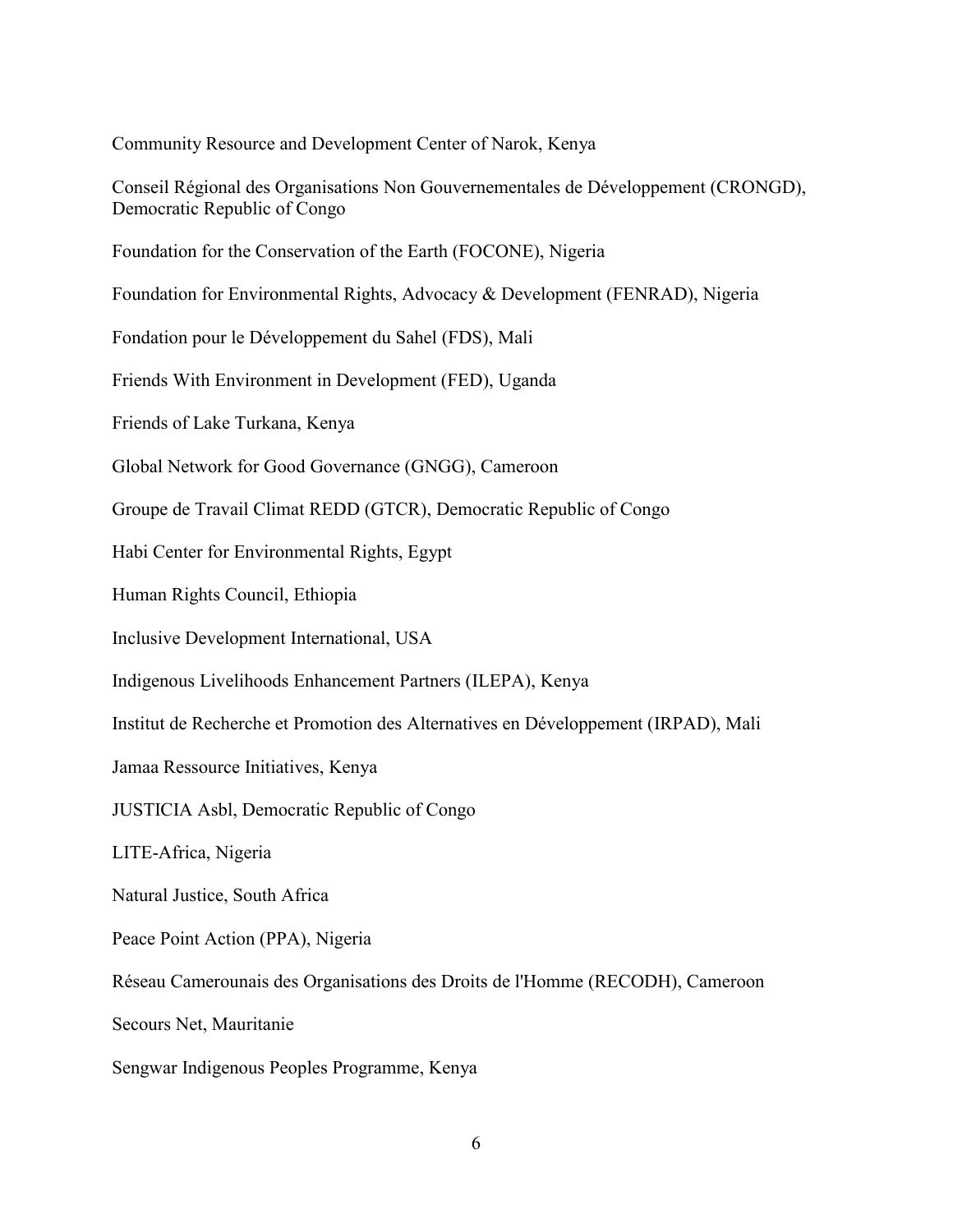Community Resource and Development Center of Narok, Kenya

Conseil Régional des Organisations Non Gouvernementales de Développement (CRONGD), Democratic Republic of Congo

Foundation for the Conservation of the Earth (FOCONE), Nigeria

Foundation for Environmental Rights, Advocacy & Development (FENRAD), Nigeria

Fondation pour le Développement du Sahel (FDS), Mali

Friends With Environment in Development (FED), Uganda

Friends of Lake Turkana, Kenya

Global Network for Good Governance (GNGG), Cameroon

Groupe de Travail Climat REDD (GTCR), Democratic Republic of Congo

Habi Center for Environmental Rights, Egypt

Human Rights Council, Ethiopia

Inclusive Development International, USA

Indigenous Livelihoods Enhancement Partners (ILEPA), Kenya

Institut de Recherche et Promotion des Alternatives en Développement (IRPAD), Mali

Jamaa Ressource Initiatives, Kenya

JUSTICIA Asbl, Democratic Republic of Congo

LITE-Africa, Nigeria

Natural Justice, South Africa

Peace Point Action (PPA), Nigeria

Réseau Camerounais des Organisations des Droits de l'Homme (RECODH), Cameroon

Secours Net, Mauritanie

Sengwar Indigenous Peoples Programme, Kenya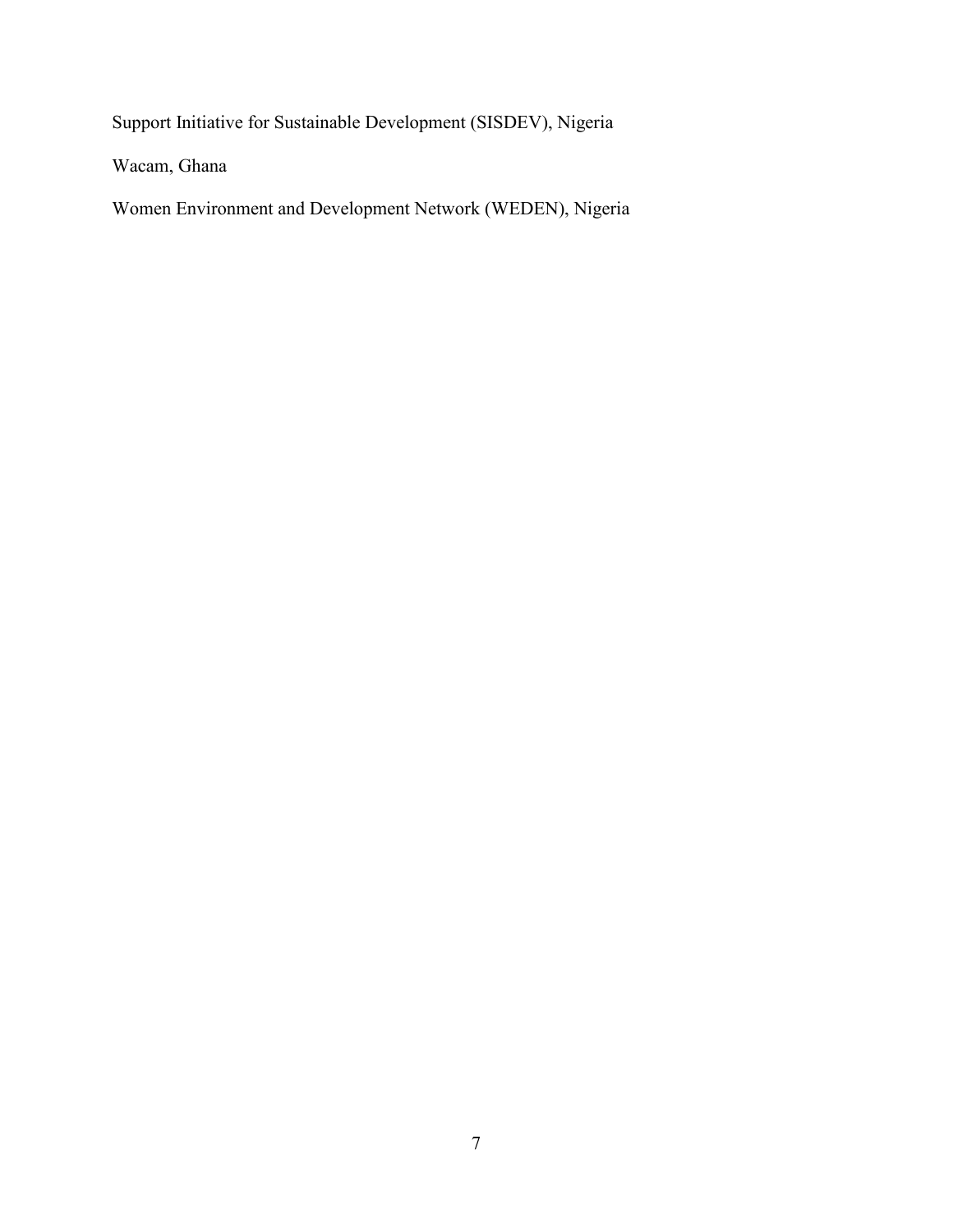Support Initiative for Sustainable Development (SISDEV), Nigeria

Wacam, Ghana

Women Environment and Development Network (WEDEN), Nigeria